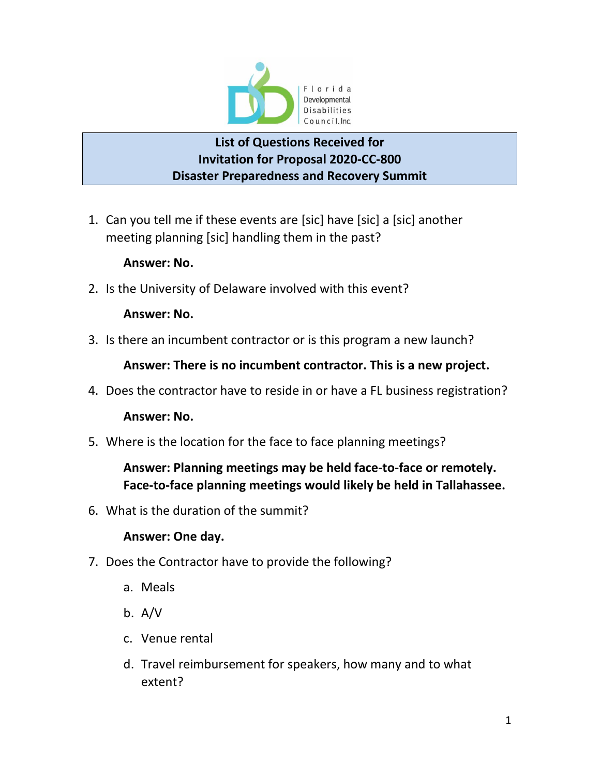

## **List of Questions Received for Invitation for Proposal 2020-CC-800 Disaster Preparedness and Recovery Summit**

1. Can you tell me if these events are [sic] have [sic] a [sic] another meeting planning [sic] handling them in the past?

### **Answer: No.**

2. Is the University of Delaware involved with this event?

### **Answer: No.**

3. Is there an incumbent contractor or is this program a new launch?

**Answer: There is no incumbent contractor. This is a new project.**

4. Does the contractor have to reside in or have a FL business registration?

### **Answer: No.**

5. Where is the location for the face to face planning meetings?

# **Answer: Planning meetings may be held face-to-face or remotely. Face-to-face planning meetings would likely be held in Tallahassee.**

6. What is the duration of the summit?

### **Answer: One day.**

- 7. Does the Contractor have to provide the following?
	- a. Meals
	- b. A/V
	- c. Venue rental
	- d. Travel reimbursement for speakers, how many and to what extent?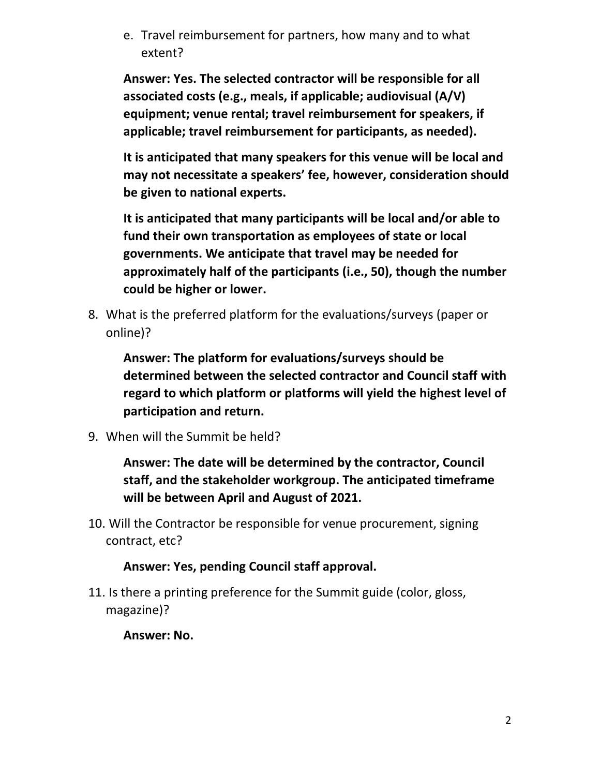e. Travel reimbursement for partners, how many and to what extent?

**Answer: Yes. The selected contractor will be responsible for all associated costs (e.g., meals, if applicable; audiovisual (A/V) equipment; venue rental; travel reimbursement for speakers, if applicable; travel reimbursement for participants, as needed).**

**It is anticipated that many speakers for this venue will be local and may not necessitate a speakers' fee, however, consideration should be given to national experts.**

**It is anticipated that many participants will be local and/or able to fund their own transportation as employees of state or local governments. We anticipate that travel may be needed for approximately half of the participants (i.e., 50), though the number could be higher or lower.**

8. What is the preferred platform for the evaluations/surveys (paper or online)?

**Answer: The platform for evaluations/surveys should be determined between the selected contractor and Council staff with regard to which platform or platforms will yield the highest level of participation and return.**

9. When will the Summit be held?

**Answer: The date will be determined by the contractor, Council staff, and the stakeholder workgroup. The anticipated timeframe will be between April and August of 2021.** 

10. Will the Contractor be responsible for venue procurement, signing contract, etc?

**Answer: Yes, pending Council staff approval.**

11. Is there a printing preference for the Summit guide (color, gloss, magazine)?

**Answer: No.**